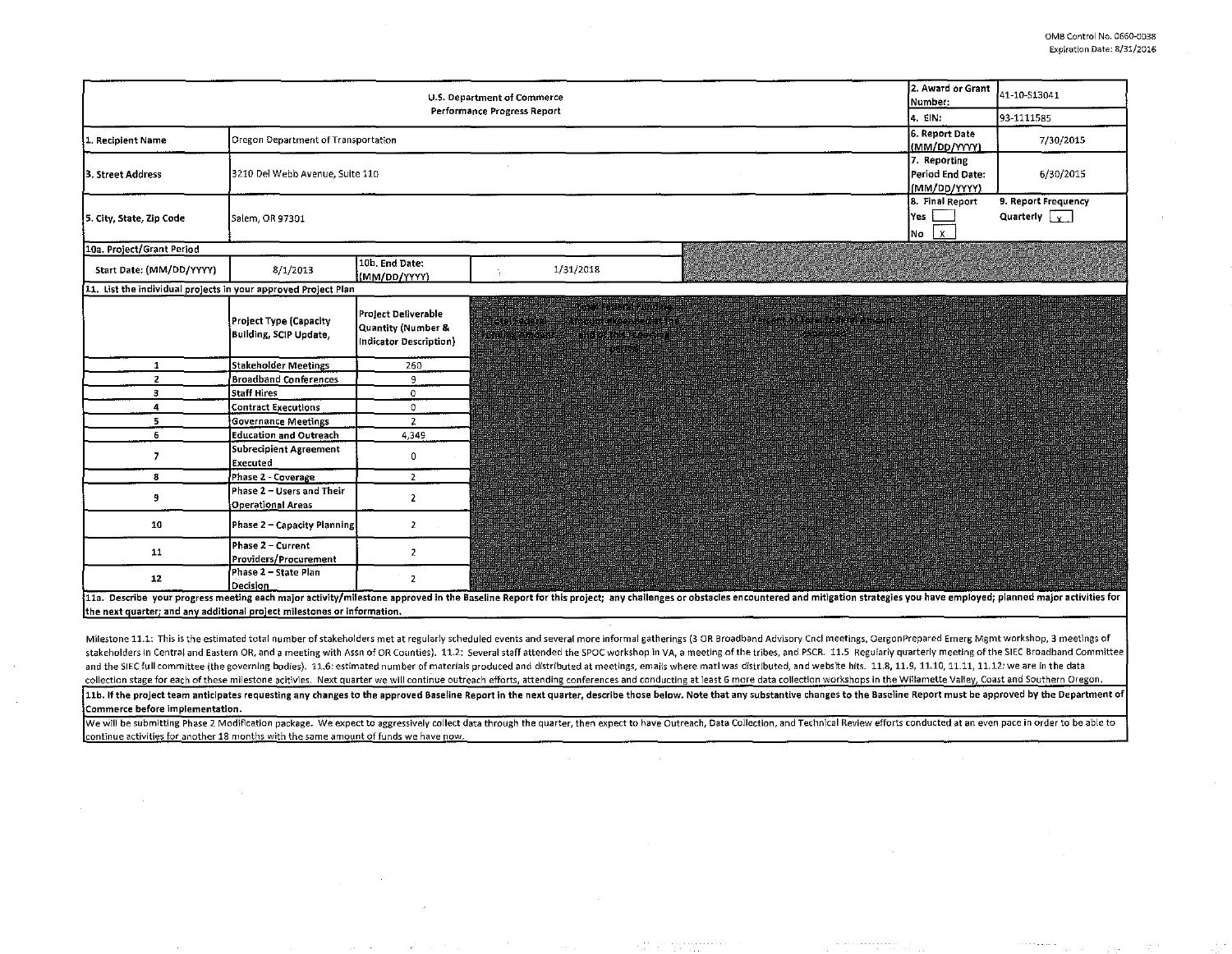| <b>U.S. Department of Commerce</b><br>Performance Progress Report |                                                                              |                                                                     |                                                                                                                                                                                                                          |                                                                                                | 2. Award or Grant<br>Number:                     | 41-10-S13041                                |  |  |
|-------------------------------------------------------------------|------------------------------------------------------------------------------|---------------------------------------------------------------------|--------------------------------------------------------------------------------------------------------------------------------------------------------------------------------------------------------------------------|------------------------------------------------------------------------------------------------|--------------------------------------------------|---------------------------------------------|--|--|
|                                                                   |                                                                              |                                                                     |                                                                                                                                                                                                                          |                                                                                                | 4. EIN.                                          | 93-1111585                                  |  |  |
| 1. Recipient Name                                                 | Oregon Department of Transportation                                          |                                                                     |                                                                                                                                                                                                                          |                                                                                                | 6. Report Date<br>(MM/DD/YYYY)                   | 7/30/2015                                   |  |  |
| 3. Street Address                                                 | 3210 Del Webb Avenue, Suite 110                                              |                                                                     |                                                                                                                                                                                                                          |                                                                                                | 7. Reporting<br>Period End Date:<br>(MM/DD/YYYY) | 6/30/2015                                   |  |  |
| 5. City, State, Zip Code                                          | Salem, OR 97301                                                              |                                                                     |                                                                                                                                                                                                                          |                                                                                                | 8. Final Report<br>Yes<br>X.<br>No               | 9. Report Frequency<br>Quarterly $\sqrt{y}$ |  |  |
| 10a. Project/Grant Period                                         |                                                                              |                                                                     |                                                                                                                                                                                                                          |                                                                                                |                                                  |                                             |  |  |
| Start Date: (MM/DD/YYYY)                                          | 8/1/2013                                                                     | 10b. End Date:<br>(MM/DD/YYYY)                                      | 1/31/2018                                                                                                                                                                                                                |                                                                                                |                                                  |                                             |  |  |
| 11. List the individual projects in your approved Project Plan    |                                                                              |                                                                     |                                                                                                                                                                                                                          |                                                                                                |                                                  |                                             |  |  |
|                                                                   | Project Type (Capacity<br>Building, SCIP Update,                             | Project Deliverable<br>Quantity (Number &<br>Indicator Description) | in de station de la propriété de la propriété de la propriété de la propriété de la propriété de la<br><u>ng pangala</u><br>a kabupatén Grégorian Grégoria<br>Bitten Britain Bitter<br><b>ADDRESS TO A REAL PROPERTY</b> | <u> Kabupatèn Propinsi Jawa Barat, </u><br><u> 1911 - John Harry Charles Barnett (f. 1915)</u> |                                                  |                                             |  |  |
| $\mathbf{1}$                                                      | Stakeholder Meetings                                                         | 260                                                                 |                                                                                                                                                                                                                          |                                                                                                |                                                  |                                             |  |  |
| <b>2</b>                                                          | <b>Broadband Conferences</b>                                                 | 9                                                                   |                                                                                                                                                                                                                          |                                                                                                |                                                  |                                             |  |  |
| 3                                                                 | <b>Staff Hires</b>                                                           | $\mathbf 0$                                                         |                                                                                                                                                                                                                          |                                                                                                |                                                  |                                             |  |  |
| $\frac{4}{3}$                                                     | <b>Contract Executions</b>                                                   | 0                                                                   |                                                                                                                                                                                                                          |                                                                                                |                                                  |                                             |  |  |
| 5<br>6                                                            | <b>Governance Meetings</b><br>Education and Outreach                         | $\overline{2}$<br>4,349                                             |                                                                                                                                                                                                                          |                                                                                                |                                                  |                                             |  |  |
| $\overline{7}$                                                    | Subrecipient Agreement<br>Executed                                           | $\mathbf 0$                                                         |                                                                                                                                                                                                                          |                                                                                                |                                                  |                                             |  |  |
| 8                                                                 | Phase 2 - Coverage                                                           | $\overline{2}$                                                      |                                                                                                                                                                                                                          |                                                                                                |                                                  |                                             |  |  |
| 9                                                                 | Phase 2 - Users and Their<br>Operational Areas                               | $\overline{2}$                                                      |                                                                                                                                                                                                                          |                                                                                                |                                                  |                                             |  |  |
| 10                                                                | Phase 2 - Capacity Planning                                                  | $\overline{2}$                                                      |                                                                                                                                                                                                                          | <b>Report</b>                                                                                  |                                                  |                                             |  |  |
| 11                                                                | Phase 2 - Current<br>Providers/Procurement                                   | $\overline{2}$                                                      |                                                                                                                                                                                                                          |                                                                                                |                                                  |                                             |  |  |
| 12                                                                | Phase 2 - State Plan<br>Decision<br>the contract of the contract of the con- | $\mathbf{z}$<br>all the collection of the                           | $\overline{1}$ and $\overline{1}$ and $\overline{1}$                                                                                                                                                                     | للمعاملات الما                                                                                 |                                                  |                                             |  |  |

11a. Describe your progress meeting each major activity/milestone approved in the Baseline Report for this project; any challenges or obstacles encountered and mitigation strategies you have employed; planned major activit the next quarter; and any additional project milestones or information.

Milestone 11.1: This is the estimated total number of stakeholders met at reguiarly scheduled events and several more informal gatherings (3 OR Broadband Advisory Cncl meetings, OergonPrepared Emerg Mgmt workshop, 3 meetin stakeholders in Central and Eastern OR, and a meeting with Assn of OR Counties). 11.2: Several staff attended the SPOC workshop in VA, a meeting of the tribes, and PSCR. 11.5 Regularly quarterly meeting of the SIEC Broadba and the SIEC full committee (the governing bodies). 11.6: estimated number of materials produced and distributed at meetings, emails where matl was distributed, and website hits. 11.8, 11.9, 11.10, 11.11, 11.12: we are in collection stage for each of these milestone acitivies. Next quarter we will continue outreach efforts, attending conferences and conducting at least 6 more data collection workshops in the Willamette Valley, Coast and Sou

11b. If the project team anticipates requesting any changes to the approved Baseline Report in the next quarter, describe those below. Note that any substantive changes to the Baseline Report must be approved by the Depart Commerce before implementation.

We will be submitting Phase 2 Modification package. We expect to aggressively collect data through the quarter, then expect to have Outreach, Data Collection, and Technical Review efforts conducted at an even pace in order continue activities for another 18 months with the same amount of funds we have now.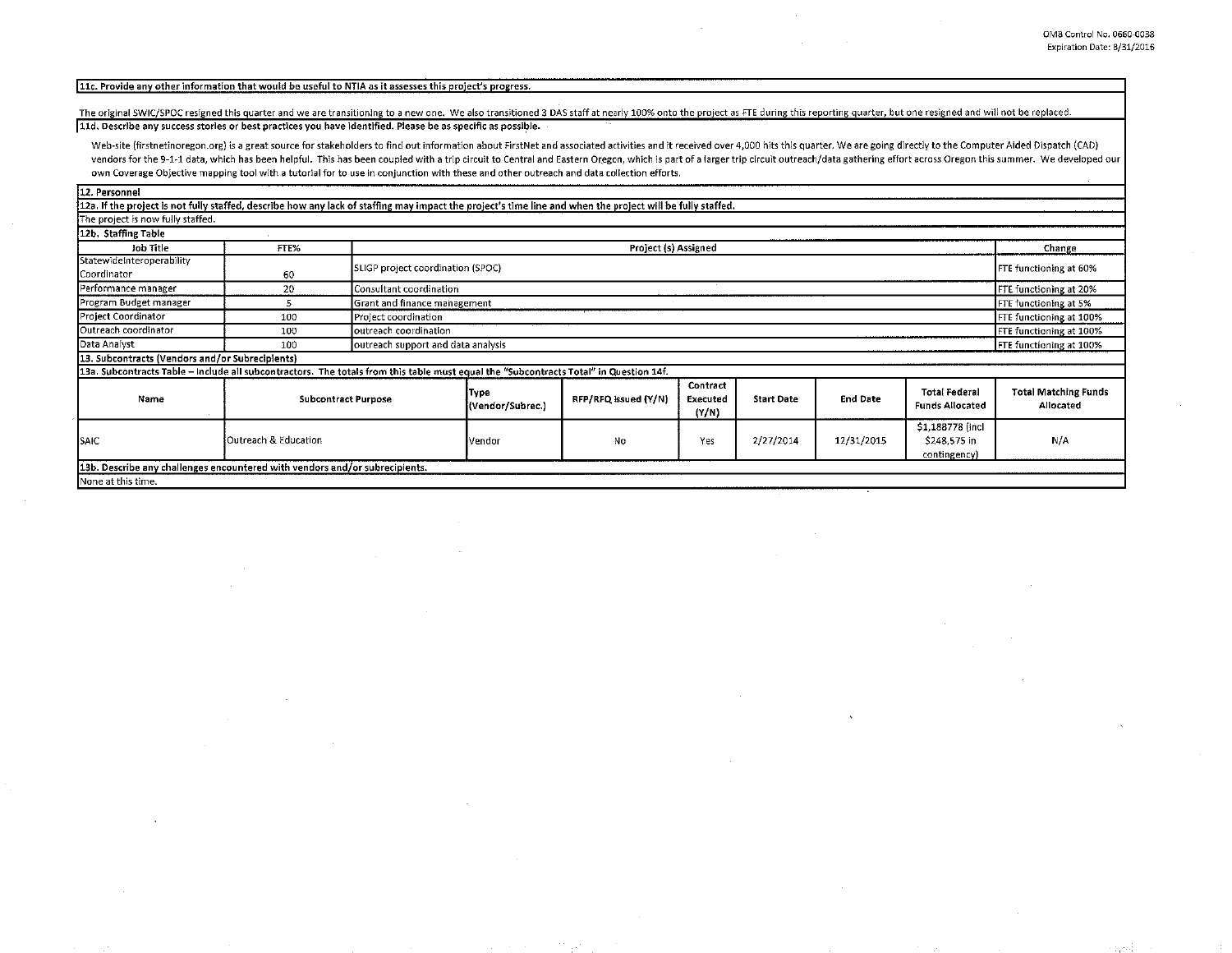## [11c. Provide any other information that would be useful to NTIA as it assesses this project's progress.

The original SWIC/SPOC resigned this quarter and we are transitioning to a new one. We also transitioned 3 DAS staff at nearly 100% onto the project as FTE during this reporting quarter, but one resigned and will not be re

11d. Describe any success stories or best practices you have identified. Please be as specific as possible.

Web-site (firstnetinoregon.org) is a great source for stakeholders to find out information about FirstNet and associated activities and it received over 4,000 hits this quarter. We are going directly to the Computer Aided vendors for the 9-1-1 data, which has been helpful. This has been coupled with a trip circuit to Central and Eastern Oregon, which is part of a larger trip circuit outreach/data gathering effort across Oregon this summer. own Coverage Objective mapping tool with a tutorial for to use in conjunction with these and other outreach and data collection efforts.

12. Personnel

12a. If the project is not fully staffed, describe how any lack of staffing may impact the project's time line and when the project will be fully staffed. The project is now fully staffed. 12b. Staffing Table **Job Title** FTE% Project (s) Assigned Т -1.

| Job Title                                                                                                                              | FTE%                            | Project (s) Assigned              |                                                               |                      |                               |                   |                 | Change                                           |                                          |
|----------------------------------------------------------------------------------------------------------------------------------------|---------------------------------|-----------------------------------|---------------------------------------------------------------|----------------------|-------------------------------|-------------------|-----------------|--------------------------------------------------|------------------------------------------|
| StatewideInteroperability<br>Coordinator                                                                                               | 60                              | SLIGP project coordination (SPOC) |                                                               |                      |                               |                   |                 | <b>FTE functioning at 60%</b>                    |                                          |
| Performance manager                                                                                                                    | 20                              | Consultant coordination           |                                                               |                      |                               |                   |                 |                                                  | FTE functioning at 20%                   |
| Program Budget manager                                                                                                                 |                                 | Grant and finance management      |                                                               |                      |                               |                   |                 | FTE functioning at 5%                            |                                          |
| Project Coordinator                                                                                                                    | 100                             | Project coordination              |                                                               |                      |                               |                   |                 |                                                  | FTE functioning at 100%                  |
| Outreach coordinator                                                                                                                   | 100                             | outreach coordination             |                                                               |                      |                               |                   |                 |                                                  | FTE functioning at 100%                  |
| Data Analyst                                                                                                                           | 100                             |                                   | outreach support and data analysis<br>FTE functioning at 100% |                      |                               |                   |                 |                                                  |                                          |
| [13. Subcontracts (Vendors and/or Subrecipients)                                                                                       |                                 |                                   |                                                               |                      |                               |                   |                 |                                                  |                                          |
| [13a. Subcontracts Table – include all subcontractors. The totals from this table must equal the "Subcontracts Total" in Question 14f. |                                 |                                   |                                                               |                      |                               |                   |                 |                                                  |                                          |
| Name                                                                                                                                   | <b>Subcontract Purpose</b>      |                                   | іТуре<br>(Vendor/Subrec.)                                     | RFP/RFQ issued (Y/N) | Contract<br>Executed<br>(Y/N) | <b>Start Date</b> | <b>End Date</b> | <b>Total Federal</b><br><b>Funds Allocated</b>   | <b>Total Matching Funds</b><br>Allocated |
| ISAIC                                                                                                                                  | <b>Outreach &amp; Education</b> |                                   | Vendor                                                        | No                   | Yes                           | 2/27/2014         | 12/31/2015      | \$1,188778 (incl<br>\$248,575 in<br>contingency) | N/A                                      |
| [13b. Describe any challenges encountered with vendors and/or subrecipients.                                                           |                                 |                                   |                                                               |                      |                               |                   |                 |                                                  |                                          |
| INone at this time.                                                                                                                    |                                 |                                   |                                                               |                      |                               |                   |                 |                                                  |                                          |